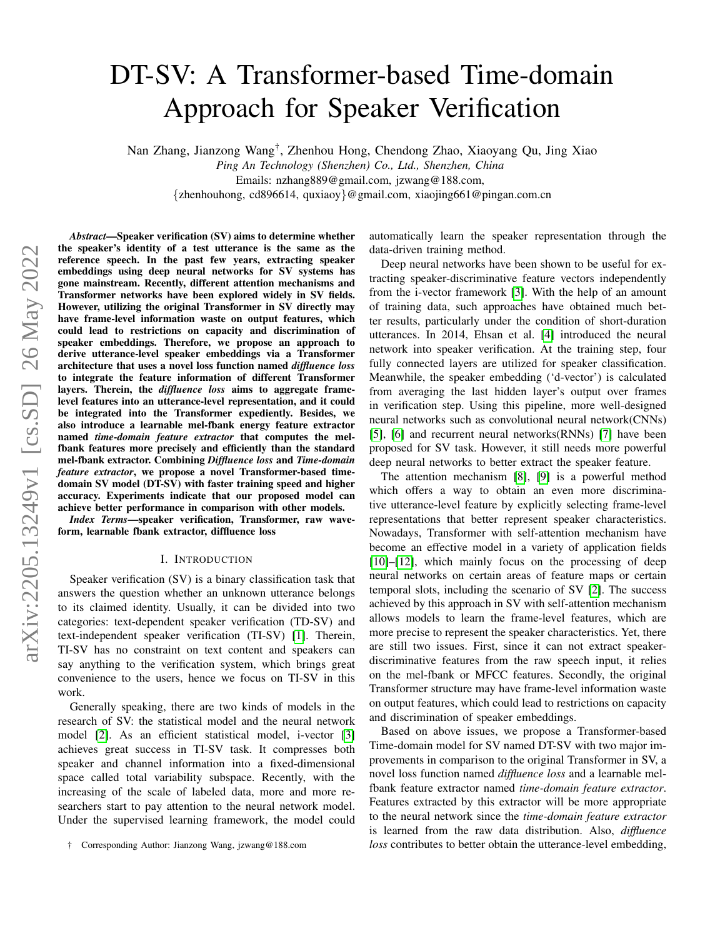# DT-SV: A Transformer-based Time-domain Approach for Speaker Verification

Nan Zhang, Jianzong Wang† , Zhenhou Hong, Chendong Zhao, Xiaoyang Qu, Jing Xiao

*Ping An Technology (Shenzhen) Co., Ltd., Shenzhen, China*

Emails: nzhang889@gmail.com, jzwang@188.com,

{zhenhouhong, cd896614, quxiaoy}@gmail.com, xiaojing661@pingan.com.cn

*Abstract*—Speaker verification (SV) aims to determine whether the speaker's identity of a test utterance is the same as the reference speech. In the past few years, extracting speaker embeddings using deep neural networks for SV systems has gone mainstream. Recently, different attention mechanisms and Transformer networks have been explored widely in SV fields. However, utilizing the original Transformer in SV directly may have frame-level information waste on output features, which could lead to restrictions on capacity and discrimination of speaker embeddings. Therefore, we propose an approach to derive utterance-level speaker embeddings via a Transformer architecture that uses a novel loss function named *diffluence loss* to integrate the feature information of different Transformer layers. Therein, the *diffluence loss* aims to aggregate framelevel features into an utterance-level representation, and it could be integrated into the Transformer expediently. Besides, we also introduce a learnable mel-fbank energy feature extractor named *time-domain feature extractor* that computes the melfbank features more precisely and efficiently than the standard mel-fbank extractor. Combining *Diffluence loss* and *Time-domain feature extractor*, we propose a novel Transformer-based timedomain SV model (DT-SV) with faster training speed and higher accuracy. Experiments indicate that our proposed model can achieve better performance in comparison with other models.

*Index Terms*—speaker verification, Transformer, raw waveform, learnable fbank extractor, diffluence loss

#### I. INTRODUCTION

<span id="page-0-0"></span>Speaker verification (SV) is a binary classification task that answers the question whether an unknown utterance belongs to its claimed identity. Usually, it can be divided into two categories: text-dependent speaker verification (TD-SV) and text-independent speaker verification (TI-SV) [\[1\]](#page-5-0). Therein, TI-SV has no constraint on text content and speakers can say anything to the verification system, which brings great convenience to the users, hence we focus on TI-SV in this work.

Generally speaking, there are two kinds of models in the research of SV: the statistical model and the neural network model [\[2\]](#page-5-1). As an efficient statistical model, i-vector [\[3\]](#page-5-2) achieves great success in TI-SV task. It compresses both speaker and channel information into a fixed-dimensional space called total variability subspace. Recently, with the increasing of the scale of labeled data, more and more researchers start to pay attention to the neural network model. Under the supervised learning framework, the model could automatically learn the speaker representation through the data-driven training method.

Deep neural networks have been shown to be useful for extracting speaker-discriminative feature vectors independently from the i-vector framework [\[3\]](#page-5-2). With the help of an amount of training data, such approaches have obtained much better results, particularly under the condition of short-duration utterances. In 2014, Ehsan et al. [\[4\]](#page-5-3) introduced the neural network into speaker verification. At the training step, four fully connected layers are utilized for speaker classification. Meanwhile, the speaker embedding ('d-vector') is calculated from averaging the last hidden layer's output over frames in verification step. Using this pipeline, more well-designed neural networks such as convolutional neural network(CNNs) [\[5\]](#page-5-4), [\[6\]](#page-5-5) and recurrent neural networks(RNNs) [\[7\]](#page-6-0) have been proposed for SV task. However, it still needs more powerful deep neural networks to better extract the speaker feature.

The attention mechanism [\[8\]](#page-6-1), [\[9\]](#page-6-2) is a powerful method which offers a way to obtain an even more discriminative utterance-level feature by explicitly selecting frame-level representations that better represent speaker characteristics. Nowadays, Transformer with self-attention mechanism have become an effective model in a variety of application fields [\[10\]](#page-6-3)–[\[12\]](#page-6-4), which mainly focus on the processing of deep neural networks on certain areas of feature maps or certain temporal slots, including the scenario of SV [\[2\]](#page-5-1). The success achieved by this approach in SV with self-attention mechanism allows models to learn the frame-level features, which are more precise to represent the speaker characteristics. Yet, there are still two issues. First, since it can not extract speakerdiscriminative features from the raw speech input, it relies on the mel-fbank or MFCC features. Secondly, the original Transformer structure may have frame-level information waste on output features, which could lead to restrictions on capacity and discrimination of speaker embeddings.

Based on above issues, we propose a Transformer-based Time-domain model for SV named DT-SV with two major improvements in comparison to the original Transformer in SV, a novel loss function named *diffluence loss* and a learnable melfbank feature extractor named *time-domain feature extractor*. Features extracted by this extractor will be more appropriate to the neural network since the *time-domain feature extractor* is learned from the raw data distribution. Also, *diffluence loss* contributes to better obtain the utterance-level embedding,

<sup>†</sup> Corresponding Author: Jianzong Wang, jzwang@188.com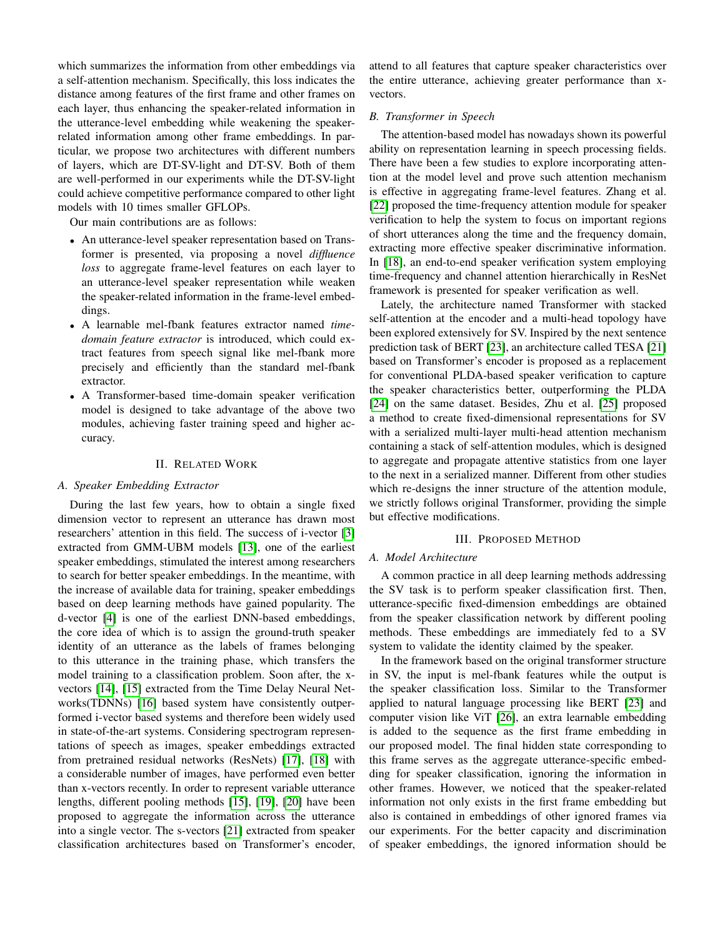which summarizes the information from other embeddings via a self-attention mechanism. Specifically, this loss indicates the distance among features of the first frame and other frames on each layer, thus enhancing the speaker-related information in the utterance-level embedding while weakening the speakerrelated information among other frame embeddings. In particular, we propose two architectures with different numbers of layers, which are DT-SV-light and DT-SV. Both of them are well-performed in our experiments while the DT-SV-light could achieve competitive performance compared to other light models with 10 times smaller GFLOPs.

Our main contributions are as follows:

- An utterance-level speaker representation based on Transformer is presented, via proposing a novel *diffluence loss* to aggregate frame-level features on each layer to an utterance-level speaker representation while weaken the speaker-related information in the frame-level embeddings.
- A learnable mel-fbank features extractor named *timedomain feature extractor* is introduced, which could extract features from speech signal like mel-fbank more precisely and efficiently than the standard mel-fbank extractor.
- A Transformer-based time-domain speaker verification model is designed to take advantage of the above two modules, achieving faster training speed and higher accuracy.

### II. RELATED WORK

## *A. Speaker Embedding Extractor*

During the last few years, how to obtain a single fixed dimension vector to represent an utterance has drawn most researchers' attention in this field. The success of i-vector [\[3\]](#page-5-2) extracted from GMM-UBM models [\[13\]](#page-6-5), one of the earliest speaker embeddings, stimulated the interest among researchers to search for better speaker embeddings. In the meantime, with the increase of available data for training, speaker embeddings based on deep learning methods have gained popularity. The d-vector [\[4\]](#page-5-3) is one of the earliest DNN-based embeddings, the core idea of which is to assign the ground-truth speaker identity of an utterance as the labels of frames belonging to this utterance in the training phase, which transfers the model training to a classification problem. Soon after, the xvectors [\[14\]](#page-6-6), [\[15\]](#page-6-7) extracted from the Time Delay Neural Networks(TDNNs) [\[16\]](#page-6-8) based system have consistently outperformed i-vector based systems and therefore been widely used in state-of-the-art systems. Considering spectrogram representations of speech as images, speaker embeddings extracted from pretrained residual networks (ResNets) [\[17\]](#page-6-9), [\[18\]](#page-6-10) with a considerable number of images, have performed even better than x-vectors recently. In order to represent variable utterance lengths, different pooling methods [\[15\]](#page-6-7), [\[19\]](#page-6-11), [\[20\]](#page-6-12) have been proposed to aggregate the information across the utterance into a single vector. The s-vectors [\[21\]](#page-6-13) extracted from speaker classification architectures based on Transformer's encoder,

attend to all features that capture speaker characteristics over the entire utterance, achieving greater performance than xvectors.

## *B. Transformer in Speech*

The attention-based model has nowadays shown its powerful ability on representation learning in speech processing fields. There have been a few studies to explore incorporating attention at the model level and prove such attention mechanism is effective in aggregating frame-level features. Zhang et al. [\[22\]](#page-6-14) proposed the time-frequency attention module for speaker verification to help the system to focus on important regions of short utterances along the time and the frequency domain, extracting more effective speaker discriminative information. In [\[18\]](#page-6-10), an end-to-end speaker verification system employing time-frequency and channel attention hierarchically in ResNet framework is presented for speaker verification as well.

Lately, the architecture named Transformer with stacked self-attention at the encoder and a multi-head topology have been explored extensively for SV. Inspired by the next sentence prediction task of BERT [\[23\]](#page-6-15), an architecture called TESA [\[21\]](#page-6-13) based on Transformer's encoder is proposed as a replacement for conventional PLDA-based speaker verification to capture the speaker characteristics better, outperforming the PLDA [\[24\]](#page-6-16) on the same dataset. Besides, Zhu et al. [\[25\]](#page-6-17) proposed a method to create fixed-dimensional representations for SV with a serialized multi-layer multi-head attention mechanism containing a stack of self-attention modules, which is designed to aggregate and propagate attentive statistics from one layer to the next in a serialized manner. Different from other studies which re-designs the inner structure of the attention module, we strictly follows original Transformer, providing the simple but effective modifications.

### III. PROPOSED METHOD

# *A. Model Architecture*

A common practice in all deep learning methods addressing the SV task is to perform speaker classification first. Then, utterance-specific fixed-dimension embeddings are obtained from the speaker classification network by different pooling methods. These embeddings are immediately fed to a SV system to validate the identity claimed by the speaker.

In the framework based on the original transformer structure in SV, the input is mel-fbank features while the output is the speaker classification loss. Similar to the Transformer applied to natural language processing like BERT [\[23\]](#page-6-15) and computer vision like ViT [\[26\]](#page-6-18), an extra learnable embedding is added to the sequence as the first frame embedding in our proposed model. The final hidden state corresponding to this frame serves as the aggregate utterance-specific embedding for speaker classification, ignoring the information in other frames. However, we noticed that the speaker-related information not only exists in the first frame embedding but also is contained in embeddings of other ignored frames via our experiments. For the better capacity and discrimination of speaker embeddings, the ignored information should be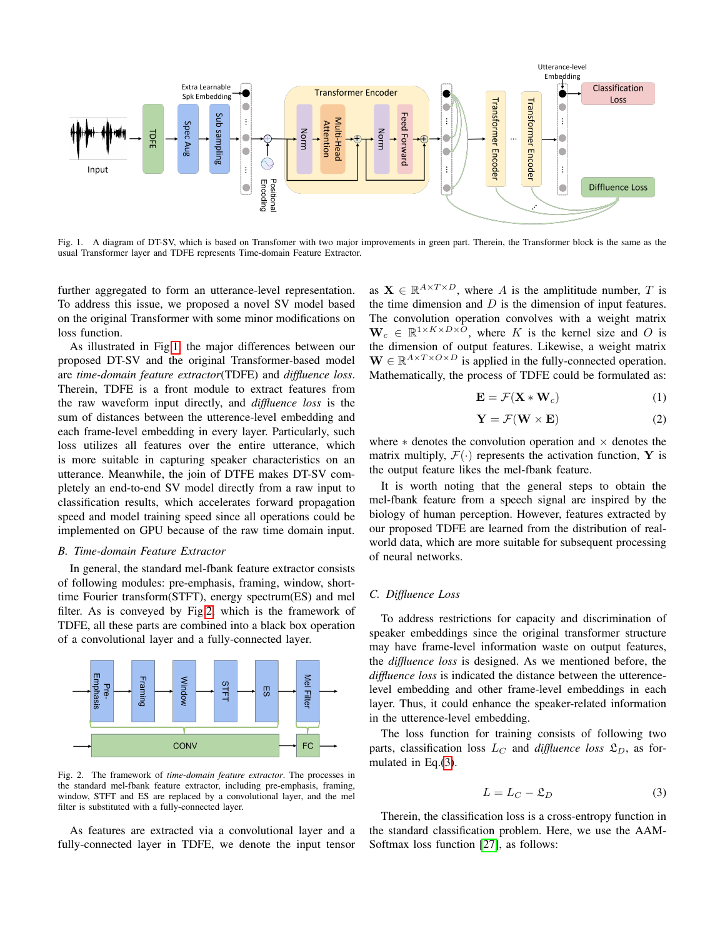

<span id="page-2-0"></span>Fig. 1. A diagram of DT-SV, which is based on Transfomer with two major improvements in green part. Therein, the Transformer block is the same as the usual Transformer layer and TDFE represents Time-domain Feature Extractor.

further aggregated to form an utterance-level representation. To address this issue, we proposed a novel SV model based on the original Transformer with some minor modifications on loss function.

As illustrated in Fig[.1,](#page-2-0) the major differences between our proposed DT-SV and the original Transformer-based model are *time-domain feature extractor*(TDFE) and *diffluence loss*. Therein, TDFE is a front module to extract features from the raw waveform input directly, and *diffluence loss* is the sum of distances between the utterence-level embedding and each frame-level embedding in every layer. Particularly, such loss utilizes all features over the entire utterance, which is more suitable in capturing speaker characteristics on an utterance. Meanwhile, the join of DTFE makes DT-SV completely an end-to-end SV model directly from a raw input to classification results, which accelerates forward propagation speed and model training speed since all operations could be implemented on GPU because of the raw time domain input.

### *B. Time-domain Feature Extractor*

In general, the standard mel-fbank feature extractor consists of following modules: pre-emphasis, framing, window, shorttime Fourier transform(STFT), energy spectrum(ES) and mel filter. As is conveyed by Fig[.2,](#page-2-1) which is the framework of TDFE, all these parts are combined into a black box operation of a convolutional layer and a fully-connected layer.



<span id="page-2-1"></span>Fig. 2. The framework of *time-domain feature extractor*. The processes in the standard mel-fbank feature extractor, including pre-emphasis, framing, window, STFT and ES are replaced by a convolutional layer, and the mel filter is substituted with a fully-connected layer.

As features are extracted via a convolutional layer and a fully-connected layer in TDFE, we denote the input tensor

as  $X \in \mathbb{R}^{A \times T \times D}$ , where A is the amplititude number, T is the time dimension and  $D$  is the dimension of input features. The convolution operation convolves with a weight matrix  $\mathbf{W}_c \in \mathbb{R}^{1 \times K \times D \times \overline{O}}$ , where K is the kernel size and O is the dimension of output features. Likewise, a weight matrix  $\mathbf{W} \in \mathbb{R}^{A \times T \times O \times D}$  is applied in the fully-connected operation. Mathematically, the process of TDFE could be formulated as:

$$
\mathbf{E} = \mathcal{F}(\mathbf{X} * \mathbf{W}_c) \tag{1}
$$

$$
\mathbf{Y} = \mathcal{F}(\mathbf{W} \times \mathbf{E}) \tag{2}
$$

where  $*$  denotes the convolution operation and  $\times$  denotes the matrix multiply,  $\mathcal{F}(\cdot)$  represents the activation function, Y is the output feature likes the mel-fbank feature.

It is worth noting that the general steps to obtain the mel-fbank feature from a speech signal are inspired by the biology of human perception. However, features extracted by our proposed TDFE are learned from the distribution of realworld data, which are more suitable for subsequent processing of neural networks.

## <span id="page-2-3"></span>*C. Diffluence Loss*

To address restrictions for capacity and discrimination of speaker embeddings since the original transformer structure may have frame-level information waste on output features, the *diffluence loss* is designed. As we mentioned before, the *diffluence loss* is indicated the distance between the utterencelevel embedding and other frame-level embeddings in each layer. Thus, it could enhance the speaker-related information in the utterence-level embedding.

The loss function for training consists of following two parts, classification loss  $L_C$  and *diffluence loss*  $\mathfrak{L}_D$ , as formulated in Eq.[\(3\)](#page-2-2).

<span id="page-2-2"></span>
$$
L = L_C - \mathfrak{L}_D \tag{3}
$$

Therein, the classification loss is a cross-entropy function in the standard classification problem. Here, we use the AAM-Softmax loss function [\[27\]](#page-6-19), as follows: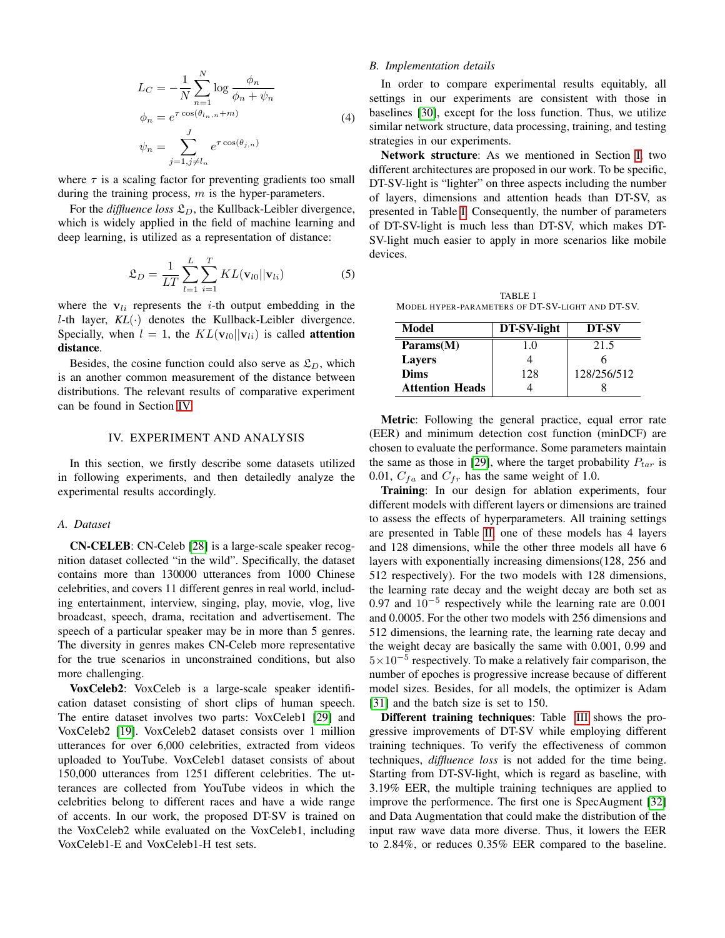$$
L_C = -\frac{1}{N} \sum_{n=1}^{N} \log \frac{\phi_n}{\phi_n + \psi_n}
$$
  
\n
$$
\phi_n = e^{\tau \cos(\theta_{l_n, n} + m)}
$$
  
\n
$$
\psi_n = \sum_{j=1, j \neq l_n}^{J} e^{\tau \cos(\theta_{j, n})}
$$
\n(4)

where  $\tau$  is a scaling factor for preventing gradients too small during the training process,  $m$  is the hyper-parameters.

For the *diffluence loss*  $\mathfrak{L}_D$ , the Kullback-Leibler divergence, which is widely applied in the field of machine learning and deep learning, is utilized as a representation of distance:

<span id="page-3-2"></span>
$$
\mathfrak{L}_D = \frac{1}{LT} \sum_{l=1}^{L} \sum_{i=1}^{T} KL(\mathbf{v}_{l0} || \mathbf{v}_{li})
$$
 (5)

where the  $v_{li}$  represents the *i*-th output embedding in the *l*-th layer,  $KL(·)$  denotes the Kullback-Leibler divergence. Specially, when  $l = 1$ , the  $KL(\mathbf{v}_{l0}||\mathbf{v}_{li})$  is called **attention** distance.

Besides, the cosine function could also serve as  $\mathfrak{L}_D$ , which is an another common measurement of the distance between distributions. The relevant results of comparative experiment can be found in Section [IV.](#page-3-0)

#### IV. EXPERIMENT AND ANALYSIS

<span id="page-3-0"></span>In this section, we firstly describe some datasets utilized in following experiments, and then detailedly analyze the experimental results accordingly.

#### *A. Dataset*

CN-CELEB: CN-Celeb [\[28\]](#page-6-20) is a large-scale speaker recognition dataset collected "in the wild". Specifically, the dataset contains more than 130000 utterances from 1000 Chinese celebrities, and covers 11 different genres in real world, including entertainment, interview, singing, play, movie, vlog, live broadcast, speech, drama, recitation and advertisement. The speech of a particular speaker may be in more than 5 genres. The diversity in genres makes CN-Celeb more representative for the true scenarios in unconstrained conditions, but also more challenging.

VoxCeleb2: VoxCeleb is a large-scale speaker identification dataset consisting of short clips of human speech. The entire dataset involves two parts: VoxCeleb1 [\[29\]](#page-6-21) and VoxCeleb2 [\[19\]](#page-6-11). VoxCeleb2 dataset consists over 1 million utterances for over 6,000 celebrities, extracted from videos uploaded to YouTube. VoxCeleb1 dataset consists of about 150,000 utterances from 1251 different celebrities. The utterances are collected from YouTube videos in which the celebrities belong to different races and have a wide range of accents. In our work, the proposed DT-SV is trained on the VoxCeleb2 while evaluated on the VoxCeleb1, including VoxCeleb1-E and VoxCeleb1-H test sets.

# *B. Implementation details*

In order to compare experimental results equitably, all settings in our experiments are consistent with those in baselines [\[30\]](#page-6-22), except for the loss function. Thus, we utilize similar network structure, data processing, training, and testing strategies in our experiments.

Network structure: As we mentioned in Section [I,](#page-0-0) two different architectures are proposed in our work. To be specific, DT-SV-light is "lighter" on three aspects including the number of layers, dimensions and attention heads than DT-SV, as presented in Table [I.](#page-3-1) Consequently, the number of parameters of DT-SV-light is much less than DT-SV, which makes DT-SV-light much easier to apply in more scenarios like mobile devices.

<span id="page-3-1"></span>TABLE I MODEL HYPER-PARAMETERS OF DT-SV-LIGHT AND DT-SV.

| Model                             | DT-SV-light | DT-SV       |
|-----------------------------------|-------------|-------------|
| $\mathbf{Parameters}(\mathbf{M})$ | 1.0         | 21.5        |
| <b>Layers</b>                     |             |             |
| <b>Dims</b>                       | 128         | 128/256/512 |
| <b>Attention Heads</b>            |             |             |

Metric: Following the general practice, equal error rate (EER) and minimum detection cost function (minDCF) are chosen to evaluate the performance. Some parameters maintain the same as those in [\[29\]](#page-6-21), where the target probability  $P_{tar}$  is 0.01,  $C_{fa}$  and  $C_{fr}$  has the same weight of 1.0.

Training: In our design for ablation experiments, four different models with different layers or dimensions are trained to assess the effects of hyperparameters. All training settings are presented in Table [II,](#page-4-0) one of these models has 4 layers and 128 dimensions, while the other three models all have 6 layers with exponentially increasing dimensions(128, 256 and 512 respectively). For the two models with 128 dimensions, the learning rate decay and the weight decay are both set as 0.97 and  $10^{-5}$  respectively while the learning rate are 0.001 and 0.0005. For the other two models with 256 dimensions and 512 dimensions, the learning rate, the learning rate decay and the weight decay are basically the same with 0.001, 0.99 and  $5 \times 10^{-5}$  respectively. To make a relatively fair comparison, the number of epoches is progressive increase because of different model sizes. Besides, for all models, the optimizer is Adam [\[31\]](#page-6-23) and the batch size is set to 150.

Different training techniques: Table [III](#page-4-1) shows the progressive improvements of DT-SV while employing different training techniques. To verify the effectiveness of common techniques, *diffluence loss* is not added for the time being. Starting from DT-SV-light, which is regard as baseline, with 3.19% EER, the multiple training techniques are applied to improve the performence. The first one is SpecAugment [\[32\]](#page-6-24) and Data Augmentation that could make the distribution of the input raw wave data more diverse. Thus, it lowers the EER to 2.84%, or reduces 0.35% EER compared to the baseline.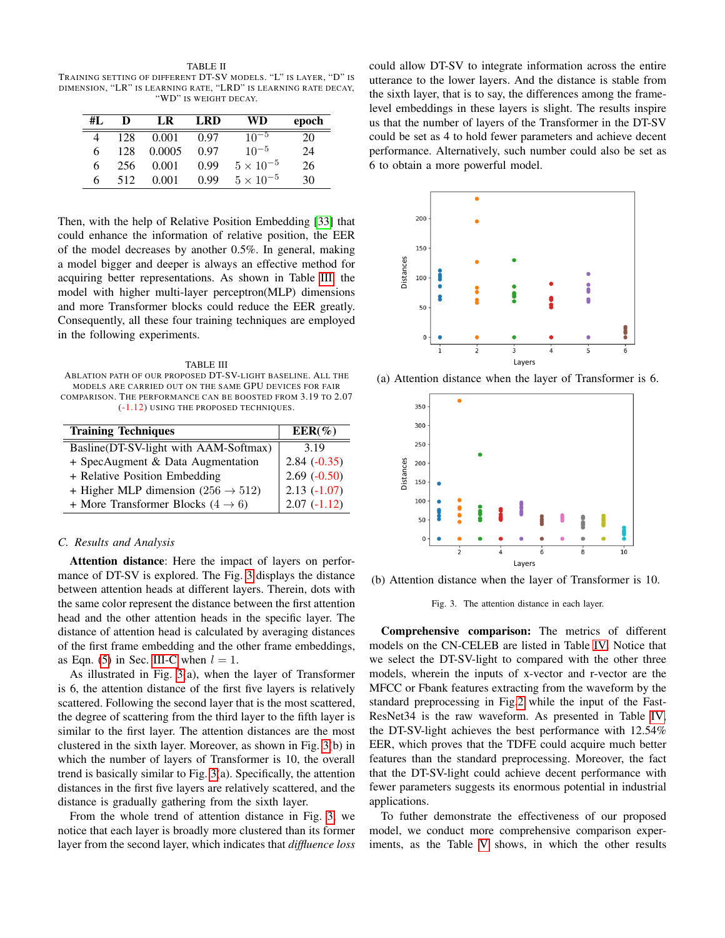<span id="page-4-0"></span>TABLE II TRAINING SETTING OF DIFFERENT DT-SV MODELS. "L" IS LAYER, "D" IS DIMENSION, "LR" IS LEARNING RATE, "LRD" IS LEARNING RATE DECAY, "WD" IS WEIGHT DECAY.

| #L | D   | LR     | LRD  | WD                 | epoch |
|----|-----|--------|------|--------------------|-------|
| 4  | 128 | 0.001  | 0.97 | $10^{-5}$          | 20    |
| 6  | 128 | 0.0005 | 0.97 | $10^{-5}$          | 24    |
| 6  | 256 | 0.001  | 0.99 | $5 \times 10^{-5}$ | 26    |
| 6  | 512 | 0.001  | 0.99 | $5 \times 10^{-5}$ | 30    |

Then, with the help of Relative Position Embedding [\[33\]](#page-6-25) that could enhance the information of relative position, the EER of the model decreases by another 0.5%. In general, making a model bigger and deeper is always an effective method for acquiring better representations. As shown in Table [III,](#page-4-1) the model with higher multi-layer perceptron(MLP) dimensions and more Transformer blocks could reduce the EER greatly. Consequently, all these four training techniques are employed in the following experiments.

<span id="page-4-1"></span>TABLE III ABLATION PATH OF OUR PROPOSED DT-SV-LIGHT BASELINE. ALL THE MODELS ARE CARRIED OUT ON THE SAME GPU DEVICES FOR FAIR COMPARISON. THE PERFORMANCE CAN BE BOOSTED FROM 3.19 TO 2.07 (-1.12) USING THE PROPOSED TECHNIQUES.

| <b>Training Techniques</b>                     | $EER(\%)$      |  |  |
|------------------------------------------------|----------------|--|--|
| Basline(DT-SV-light with AAM-Softmax)          | 3.19           |  |  |
| + SpecAugment & Data Augmentation              | $2.84 (-0.35)$ |  |  |
| + Relative Position Embedding                  | $2.69(-0.50)$  |  |  |
| + Higher MLP dimension (256 $\rightarrow$ 512) | $2.13(-1.07)$  |  |  |
| + More Transformer Blocks $(4 \rightarrow 6)$  | $2.07(-1.12)$  |  |  |

#### *C. Results and Analysis*

Attention distance: Here the impact of layers on performance of DT-SV is explored. The Fig. [3](#page-4-2) displays the distance between attention heads at different layers. Therein, dots with the same color represent the distance between the first attention head and the other attention heads in the specific layer. The distance of attention head is calculated by averaging distances of the first frame embedding and the other frame embeddings, as Eqn. [\(5\)](#page-3-2) in Sec. [III-C](#page-2-3) when  $l = 1$ .

As illustrated in Fig. [3\(](#page-4-2)a), when the layer of Transformer is 6, the attention distance of the first five layers is relatively scattered. Following the second layer that is the most scattered, the degree of scattering from the third layer to the fifth layer is similar to the first layer. The attention distances are the most clustered in the sixth layer. Moreover, as shown in Fig. [3\(](#page-4-2)b) in which the number of layers of Transformer is 10, the overall trend is basically similar to Fig. [3\(](#page-4-2)a). Specifically, the attention distances in the first five layers are relatively scattered, and the distance is gradually gathering from the sixth layer.

From the whole trend of attention distance in Fig. [3,](#page-4-2) we notice that each layer is broadly more clustered than its former layer from the second layer, which indicates that *diffluence loss* could allow DT-SV to integrate information across the entire utterance to the lower layers. And the distance is stable from the sixth layer, that is to say, the differences among the framelevel embeddings in these layers is slight. The results inspire us that the number of layers of the Transformer in the DT-SV could be set as 4 to hold fewer parameters and achieve decent performance. Alternatively, such number could also be set as 6 to obtain a more powerful model.



(a) Attention distance when the layer of Transformer is 6.



(b) Attention distance when the layer of Transformer is 10.

<span id="page-4-2"></span>Fig. 3. The attention distance in each layer.

Comprehensive comparison: The metrics of different models on the CN-CELEB are listed in Table [IV.](#page-5-6) Notice that we select the DT-SV-light to compared with the other three models, wherein the inputs of x-vector and r-vector are the MFCC or Fbank features extracting from the waveform by the standard preprocessing in Fig[.2](#page-2-1) while the input of the Fast-ResNet34 is the raw waveform. As presented in Table [IV,](#page-5-6) the DT-SV-light achieves the best performance with 12.54% EER, which proves that the TDFE could acquire much better features than the standard preprocessing. Moreover, the fact that the DT-SV-light could achieve decent performance with fewer parameters suggests its enormous potential in industrial applications.

To futher demonstrate the effectiveness of our proposed model, we conduct more comprehensive comparison experiments, as the Table [V](#page-5-7) shows, in which the other results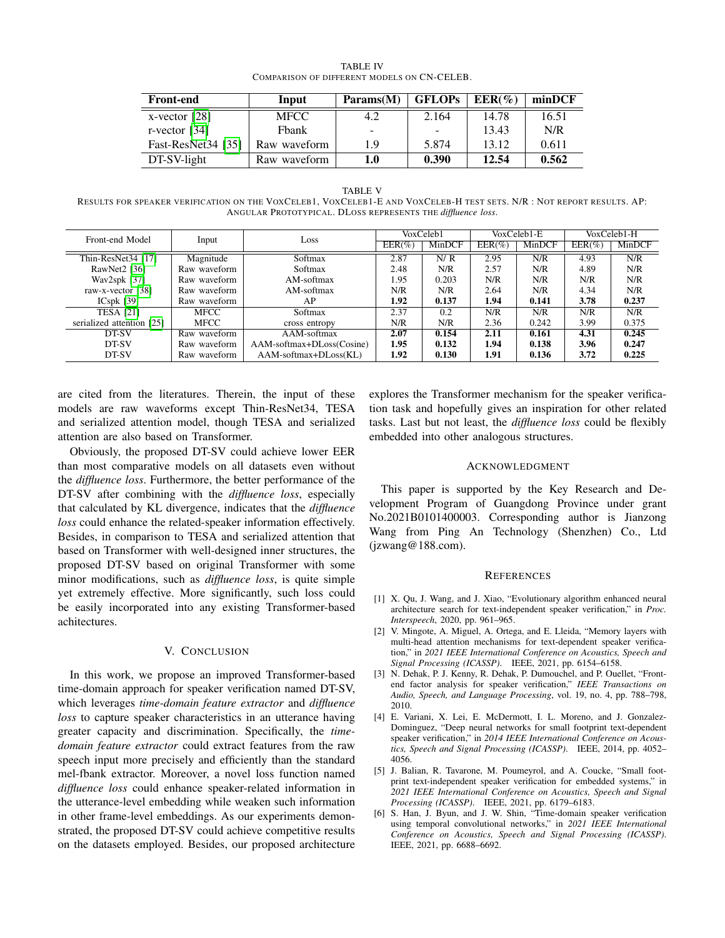<span id="page-5-6"></span>

| <b>Front-end</b>   | Input        | Params(M) | <b>GFLOPs</b><br>$EER(\%)$<br>2.164<br>14.78<br>13.43<br>-<br>5.874<br>13.12 |       | minDCF |
|--------------------|--------------|-----------|------------------------------------------------------------------------------|-------|--------|
| $x$ -vector [28]   | <b>MFCC</b>  |           |                                                                              |       | 16.51  |
| r-vector $[34]$    | Fbank        | -         |                                                                              |       | N/R    |
| Fast-ResNet34 [35] | Raw waveform | 1.9       |                                                                              |       | 0.611  |
| $DT-SV-light$      | Raw waveform | 1.0       | 0.390                                                                        | 12.54 | 0.562  |

TABLE IV COMPARISON OF DIFFERENT MODELS ON CN-CELEB.

#### TABLE V

<span id="page-5-7"></span>RESULTS FOR SPEAKER VERIFICATION ON THE VOXCELEB1, VOXCELEB1-E AND VOXCELEB-H TEST SETS. N/R : NOT REPORT RESULTS. AP: ANGULAR PROTOTYPICAL. DLOSS REPRESENTS THE *diffluence loss*.

| Front-end Model           | Input        | Loss                      | VoxCeleb1 |        | VoxCeleb1-E |        | VoxCeleb1-H |        |
|---------------------------|--------------|---------------------------|-----------|--------|-------------|--------|-------------|--------|
|                           |              |                           | $EER(\%)$ | MinDCF | $EER(\%)$   | MinDCF | $EER(\%)$   | MinDCF |
| Thin-ResNet34 [17]        | Magnitude    | Softmax                   | 2.87      | N/R    | 2.95        | N/R    | 4.93        | N/R    |
| RawNet $2$ [36]           | Raw waveform | Softmax                   | 2.48      | N/R    | 2.57        | N/R    | 4.89        | N/R    |
| Wav2spk [37]              | Raw waveform | AM-softmax                | 1.95      | 0.203  | N/R         | N/R    | N/R         | N/R    |
| raw-x-vector [38]         | Raw waveform | AM-softmax                | N/R       | N/R    | 2.64        | N/R    | 4.34        | N/R    |
| $ICspk$ [39]              | Raw waveform | AP                        | 1.92      | 0.137  | 1.94        | 0.141  | 3.78        | 0.237  |
| <b>TESA [21]</b>          | MFCC         | Softmax                   | 2.37      | 0.2    | N/R         | N/R    | N/R         | N/R    |
| serialized attention [25] | MFCC         | cross entropy             | N/R       | N/R    | 2.36        | 0.242  | 3.99        | 0.375  |
| DT-SV                     | Raw waveform | AAM-softmax               | 2.07      | 0.154  | 2.11        | 0.161  | 4.31        | 0.245  |
| DT-SV                     | Raw waveform | AAM-softmax+DLoss(Cosine) | 1.95      | 0.132  | 1.94        | 0.138  | 3.96        | 0.247  |
| DT-SV                     | Raw waveform | AAM-softmax+DLoss(KL)     | 1.92      | 0.130  | 1.91        | 0.136  | 3.72        | 0.225  |

are cited from the literatures. Therein, the input of these models are raw waveforms except Thin-ResNet34, TESA and serialized attention model, though TESA and serialized attention are also based on Transformer.

Obviously, the proposed DT-SV could achieve lower EER than most comparative models on all datasets even without the *diffluence loss*. Furthermore, the better performance of the DT-SV after combining with the *diffluence loss*, especially that calculated by KL divergence, indicates that the *diffluence loss* could enhance the related-speaker information effectively. Besides, in comparison to TESA and serialized attention that based on Transformer with well-designed inner structures, the proposed DT-SV based on original Transformer with some minor modifications, such as *diffluence loss*, is quite simple yet extremely effective. More significantly, such loss could be easily incorporated into any existing Transformer-based achitectures.

#### V. CONCLUSION

In this work, we propose an improved Transformer-based time-domain approach for speaker verification named DT-SV, which leverages *time-domain feature extractor* and *diffluence loss* to capture speaker characteristics in an utterance having greater capacity and discrimination. Specifically, the *timedomain feature extractor* could extract features from the raw speech input more precisely and efficiently than the standard mel-fbank extractor. Moreover, a novel loss function named *diffluence loss* could enhance speaker-related information in the utterance-level embedding while weaken such information in other frame-level embeddings. As our experiments demonstrated, the proposed DT-SV could achieve competitive results on the datasets employed. Besides, our proposed architecture explores the Transformer mechanism for the speaker verification task and hopefully gives an inspiration for other related tasks. Last but not least, the *diffluence loss* could be flexibly embedded into other analogous structures.

#### ACKNOWLEDGMENT

This paper is supported by the Key Research and Development Program of Guangdong Province under grant No.2021B0101400003. Corresponding author is Jianzong Wang from Ping An Technology (Shenzhen) Co., Ltd (jzwang@188.com).

#### **REFERENCES**

- <span id="page-5-0"></span>[1] X. Qu, J. Wang, and J. Xiao, "Evolutionary algorithm enhanced neural architecture search for text-independent speaker verification," in *Proc. Interspeech*, 2020, pp. 961–965.
- <span id="page-5-1"></span>[2] V. Mingote, A. Miguel, A. Ortega, and E. Lleida, "Memory layers with multi-head attention mechanisms for text-dependent speaker verification," in *2021 IEEE International Conference on Acoustics, Speech and Signal Processing (ICASSP)*. IEEE, 2021, pp. 6154–6158.
- <span id="page-5-2"></span>[3] N. Dehak, P. J. Kenny, R. Dehak, P. Dumouchel, and P. Ouellet, "Frontend factor analysis for speaker verification," *IEEE Transactions on Audio, Speech, and Language Processing*, vol. 19, no. 4, pp. 788–798, 2010.
- <span id="page-5-3"></span>[4] E. Variani, X. Lei, E. McDermott, I. L. Moreno, and J. Gonzalez-Dominguez, "Deep neural networks for small footprint text-dependent speaker verification," in *2014 IEEE International Conference on Acoustics, Speech and Signal Processing (ICASSP)*. IEEE, 2014, pp. 4052– 4056.
- <span id="page-5-4"></span>[5] J. Balian, R. Tavarone, M. Poumeyrol, and A. Coucke, "Small footprint text-independent speaker verification for embedded systems," in *2021 IEEE International Conference on Acoustics, Speech and Signal Processing (ICASSP)*. IEEE, 2021, pp. 6179–6183.
- <span id="page-5-5"></span>[6] S. Han, J. Byun, and J. W. Shin, "Time-domain speaker verification using temporal convolutional networks," in *2021 IEEE International Conference on Acoustics, Speech and Signal Processing (ICASSP)*. IEEE, 2021, pp. 6688–6692.